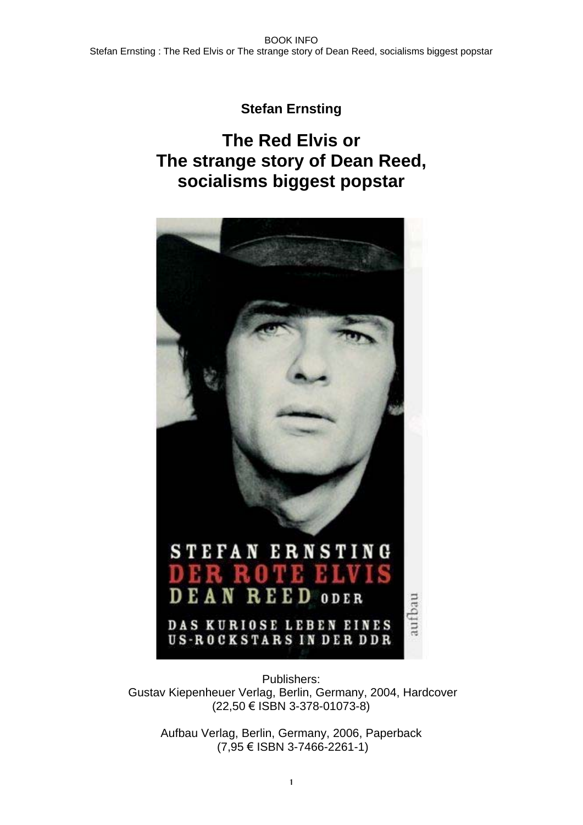## **Stefan Ernsting**

# **The Red Elvis or The strange story of Dean Reed, socialisms biggest popstar**



Publishers: Gustav Kiepenheuer Verlag, Berlin, Germany, 2004, Hardcover (22,50 ISBN 3-378-01073-8)

Aufbau Verlag, Berlin, Germany, 2006, Paperback  $(7,95 \in$  ISBN 3-7466-2261-1)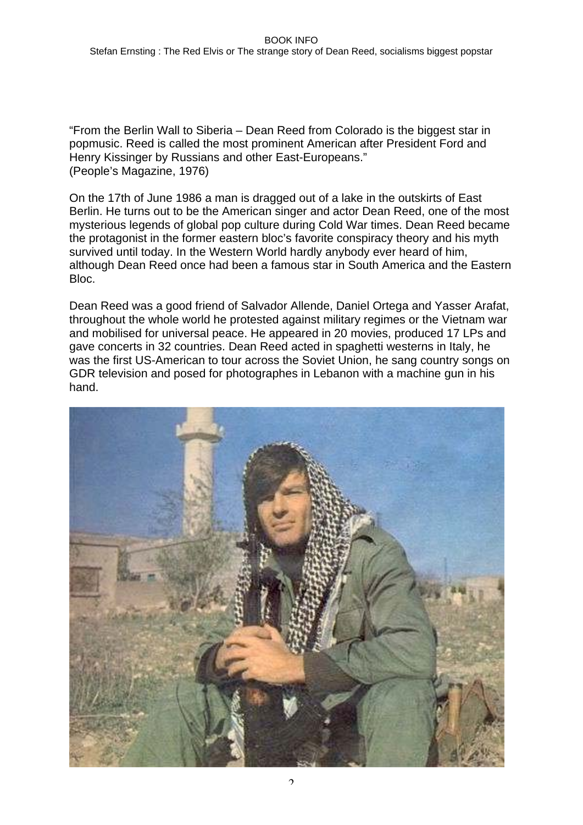"From the Berlin Wall to Siberia – Dean Reed from Colorado is the biggest star in popmusic. Reed is called the most prominent American after President Ford and Henry Kissinger by Russians and other East-Europeans." (People's Magazine, 1976)

On the 17th of June 1986 a man is dragged out of a lake in the outskirts of East Berlin. He turns out to be the American singer and actor Dean Reed, one of the most mysterious legends of global pop culture during Cold War times. Dean Reed became the protagonist in the former eastern bloc's favorite conspiracy theory and his myth survived until today. In the Western World hardly anybody ever heard of him, although Dean Reed once had been a famous star in South America and the Eastern Bloc.

Dean Reed was a good friend of Salvador Allende, Daniel Ortega and Yasser Arafat, throughout the whole world he protested against military regimes or the Vietnam war and mobilised for universal peace. He appeared in 20 movies, produced 17 LPs and gave concerts in 32 countries. Dean Reed acted in spaghetti westerns in Italy, he was the first US-American to tour across the Soviet Union, he sang country songs on GDR television and posed for photographes in Lebanon with a machine gun in his hand.

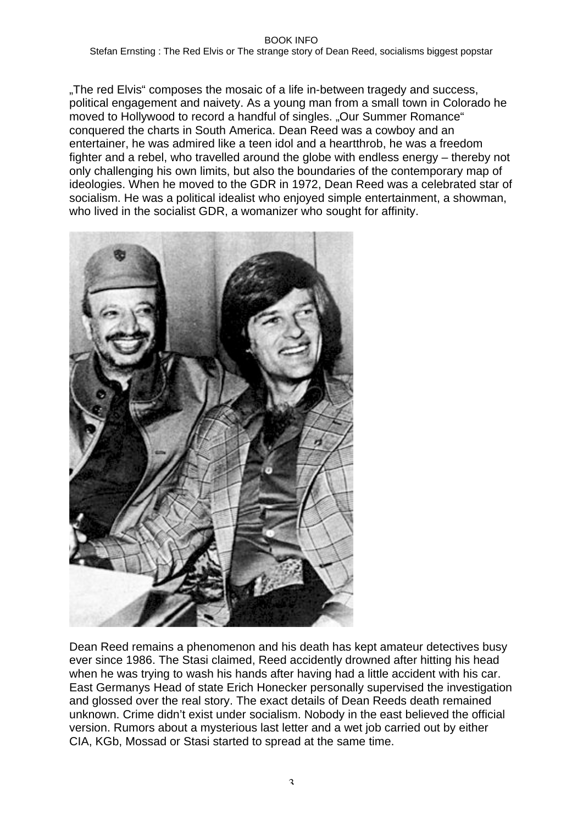Stefan Ernsting : The Red Elvis or The strange story of Dean Reed, socialisms biggest popstar

"The red Elvis" composes the mosaic of a life in-between tragedy and success, political engagement and naivety. As a young man from a small town in Colorado he moved to Hollywood to record a handful of singles. "Our Summer Romance" conquered the charts in South America. Dean Reed was a cowboy and an entertainer, he was admired like a teen idol and a heartthrob, he was a freedom fighter and a rebel, who travelled around the globe with endless energy – thereby not only challenging his own limits, but also the boundaries of the contemporary map of ideologies. When he moved to the GDR in 1972, Dean Reed was a celebrated star of socialism. He was a political idealist who enjoyed simple entertainment, a showman, who lived in the socialist GDR, a womanizer who sought for affinity.



Dean Reed remains a phenomenon and his death has kept amateur detectives busy ever since 1986. The Stasi claimed, Reed accidently drowned after hitting his head when he was trying to wash his hands after having had a little accident with his car. East Germanys Head of state Erich Honecker personally supervised the investigation and glossed over the real story. The exact details of Dean Reeds death remained unknown. Crime didn't exist under socialism. Nobody in the east believed the official version. Rumors about a mysterious last letter and a wet job carried out by either CIA, KGb, Mossad or Stasi started to spread at the same time.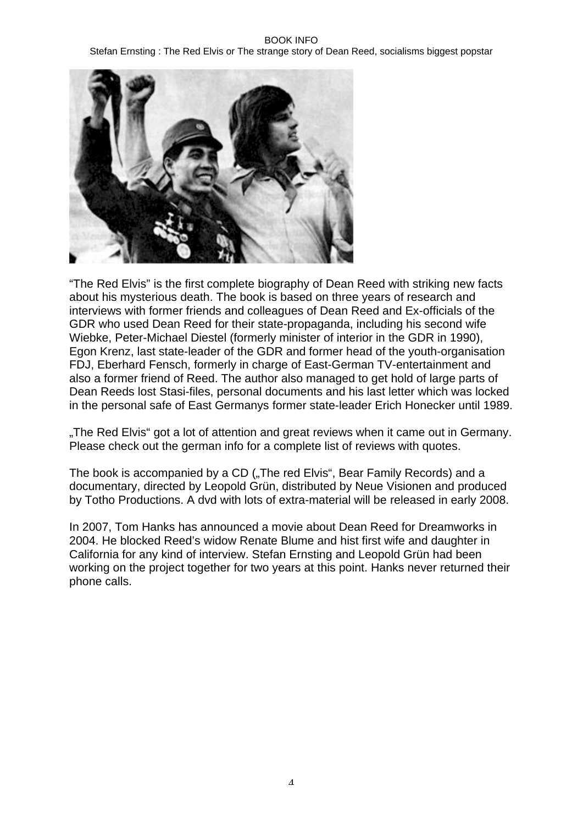Stefan Ernsting : The Red Elvis or The strange story of Dean Reed, socialisms biggest popstar



"The Red Elvis" is the first complete biography of Dean Reed with striking new facts about his mysterious death. The book is based on three years of research and interviews with former friends and colleagues of Dean Reed and Ex-officials of the GDR who used Dean Reed for their state-propaganda, including his second wife Wiebke, Peter-Michael Diestel (formerly minister of interior in the GDR in 1990), Egon Krenz, last state-leader of the GDR and former head of the youth-organisation FDJ, Eberhard Fensch, formerly in charge of East-German TV-entertainment and also a former friend of Reed. The author also managed to get hold of large parts of Dean Reeds lost Stasi-files, personal documents and his last letter which was locked in the personal safe of East Germanys former state-leader Erich Honecker until 1989.

"The Red Elvis" got a lot of attention and great reviews when it came out in Germany. Please check out the german info for a complete list of reviews with quotes.

The book is accompanied by a CD ("The red Elvis", Bear Family Records) and a documentary, directed by Leopold Grün, distributed by Neue Visionen and produced by Totho Productions. A dvd with lots of extra-material will be released in early 2008.

In 2007, Tom Hanks has announced a movie about Dean Reed for Dreamworks in 2004. He blocked Reed's widow Renate Blume and hist first wife and daughter in California for any kind of interview. Stefan Ernsting and Leopold Grün had been working on the project together for two years at this point. Hanks never returned their phone calls.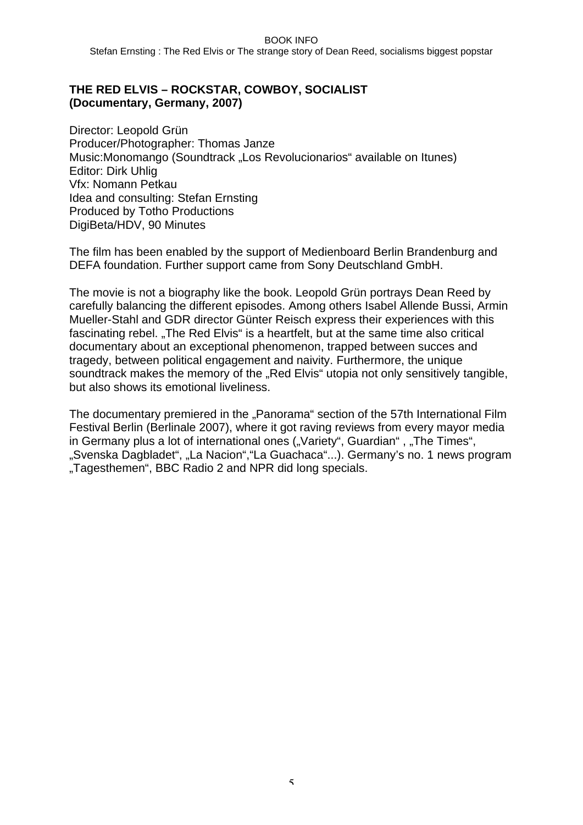Stefan Ernsting : The Red Elvis or The strange story of Dean Reed, socialisms biggest popstar

## **THE RED ELVIS – ROCKSTAR, COWBOY, SOCIALIST (Documentary, Germany, 2007)**

Director: Leopold Grün Producer/Photographer: Thomas Janze Music: Monomango (Soundtrack "Los Revolucionarios" available on Itunes) Editor: Dirk Uhlig Vfx: Nomann Petkau Idea and consulting: Stefan Ernsting Produced by Totho Productions DigiBeta/HDV, 90 Minutes

The film has been enabled by the support of Medienboard Berlin Brandenburg and DEFA foundation. Further support came from Sony Deutschland GmbH.

The movie is not a biography like the book. Leopold Grün portrays Dean Reed by carefully balancing the different episodes. Among others Isabel Allende Bussi, Armin Mueller-Stahl and GDR director Günter Reisch express their experiences with this fascinating rebel. "The Red Elvis" is a heartfelt, but at the same time also critical documentary about an exceptional phenomenon, trapped between succes and tragedy, between political engagement and naivity. Furthermore, the unique soundtrack makes the memory of the "Red Elvis" utopia not only sensitively tangible, but also shows its emotional liveliness.

The documentary premiered in the "Panorama" section of the 57th International Film Festival Berlin (Berlinale 2007), where it got raving reviews from every mayor media in Germany plus a lot of international ones ("Variety", Guardian", "The Times", "Svenska Dagbladet", "La Nacion","La Guachaca"...). Germany's no. 1 news program "Tagesthemen", BBC Radio 2 and NPR did long specials.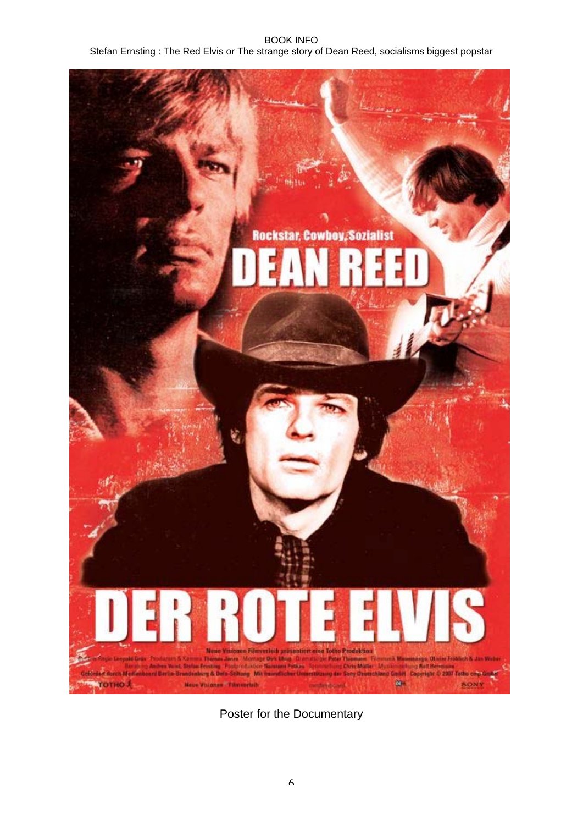Stefan Ernsting : The Red Elvis or The strange story of Dean Reed, socialisms biggest popstar



Poster for the Documentary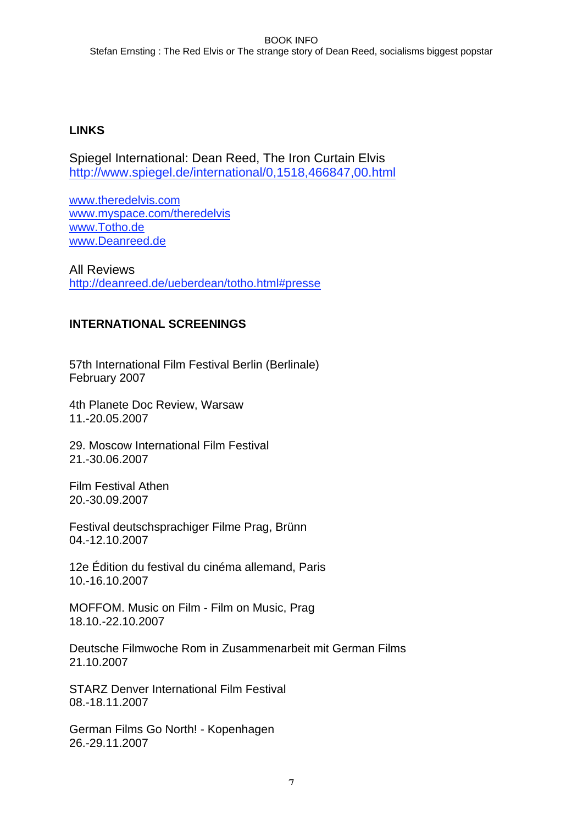Stefan Ernsting : The Red Elvis or The strange story of Dean Reed, socialisms biggest popstar

## **LINKS**

Spiegel International: Dean Reed, The Iron Curtain Elvis http://www.spiegel.de/international/0,1518,466847,00.html

www.theredelvis.com www.myspace.com/theredelvis www.Totho.de www.Deanreed.de

All Reviews http://deanreed.de/ueberdean/totho.html#presse

## **INTERNATIONAL SCREENINGS**

57th International Film Festival Berlin (Berlinale) February 2007

4th Planete Doc Review, Warsaw 11.-20.05.2007

29. Moscow International Film Festival 21.-30.06.2007

Film Festival Athen 20.-30.09.2007

Festival deutschsprachiger Filme Prag, Brünn 04.-12.10.2007

12e Édition du festival du cinéma allemand, Paris 10.-16.10.2007

MOFFOM. Music on Film - Film on Music, Prag 18.10.-22.10.2007

Deutsche Filmwoche Rom in Zusammenarbeit mit German Films 21.10.2007

STARZ Denver International Film Festival 08.-18.11.2007

German Films Go North! - Kopenhagen 26.-29.11.2007